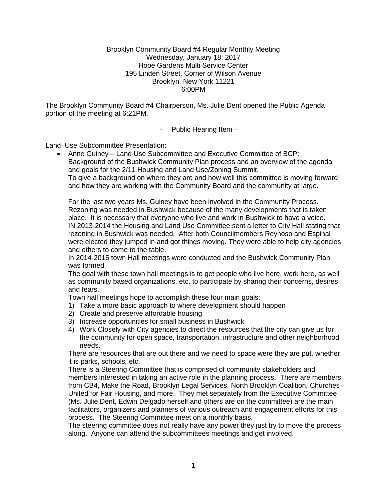#### Brooklyn Community Board #4 Regular Monthly Meeting Wednesday, January 18, 2017 Hope Gardens Multi Service Center 195 Linden Street, Corner of Wilson Avenue Brooklyn, New York 11221 6:00PM

The Brooklyn Community Board #4 Chairperson, Ms. Julie Dent opened the Public Agenda portion of the meeting at 6:21PM.

- Public Hearing Item –

Land–Use Subcommittee Presentation:

 Anne Guiney – Land Use Subcommittee and Executive Committee of BCP: Background of the Bushwick Community Plan process and an overview of the agenda and goals for the 2/11 Housing and Land Use/Zoning Summit. To give a background on where they are and how well this committee is moving forward and how they are working with the Community Board and the community at large.

For the last two years Ms. Guiney have been involved in the Community Process. Rezoning was needed in Bushwick because of the many developments that is taken place. It is necessary that everyone who live and work in Bushwick to have a voice. IN 2013-2014 the Housing and Land Use Committee sent a letter to City Hall stating that rezoning in Bushwick was needed. After both Councilmembers Reynoso and Espinal were elected they jumped in and got things moving. They were able to help city agencies and others to come to the table.

In 2014-2015 town Hall meetings were conducted and the Bushwick Community Plan was formed.

The goal with these town hall meetings is to get people who live here, work here, as well as community based organizations, etc. to participate by sharing their concerns, desires and fears.

Town hall meetings hope to accomplish these four main goals:

- 1) Take a more basic approach to where development should happen
- 2) Create and preserve affordable housing
- 3) Increase opportunities for small business in Bushwick
- 4) Work Closely with City agencies to direct the resources that the city can give us for the community for open space, transportation, infrastructure and other neighborhood needs.

There are resources that are out there and we need to space were they are put, whether it is parks, schools, etc.

There is a Steering Committee that is comprised of community stakeholders and members interested in taking an active role in the planning process. There are members from CB4, Make the Road, Brooklyn Legal Services, North Brooklyn Coalition, Churches United for Fair Housing, and more. They met separately from the Executive Committee (Ms. Julie Dent, Edwin Delgado herself and others are on the committee) are the main facilitators, organizers and planners of various outreach and engagement efforts for this process. The Steering Committee meet on a monthly basis.

The steering committee does not really have any power they just try to move the process along. Anyone can attend the subcommittees meetings and get involved.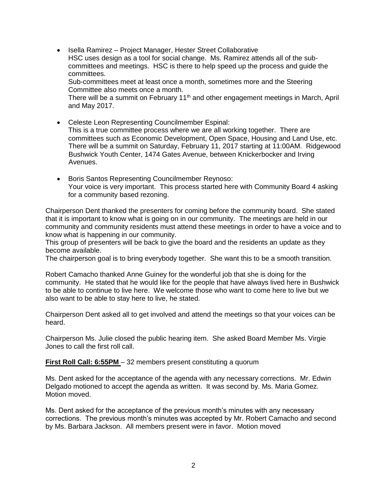• Isella Ramirez – Project Manager, Hester Street Collaborative HSC uses design as a tool for social change. Ms. Ramirez attends all of the subcommittees and meetings. HSC is there to help speed up the process and guide the committees. Sub-committees meet at least once a month, sometimes more and the Steering Committee also meets once a month.

There will be a summit on February  $11<sup>th</sup>$  and other engagement meetings in March, April and May 2017.

- Celeste Leon Representing Councilmember Espinal: This is a true committee process where we are all working together. There are committees such as Economic Development, Open Space, Housing and Land Use, etc. There will be a summit on Saturday, February 11, 2017 starting at 11:00AM. Ridgewood Bushwick Youth Center, 1474 Gates Avenue, between Knickerbocker and Irving Avenues.
- Boris Santos Representing Councilmember Reynoso: Your voice is very important. This process started here with Community Board 4 asking for a community based rezoning.

Chairperson Dent thanked the presenters for coming before the community board. She stated that it is important to know what is going on in our community. The meetings are held in our community and community residents must attend these meetings in order to have a voice and to know what is happening in our community.

This group of presenters will be back to give the board and the residents an update as they become available.

The chairperson goal is to bring everybody together. She want this to be a smooth transition.

Robert Camacho thanked Anne Guiney for the wonderful job that she is doing for the community. He stated that he would like for the people that have always lived here in Bushwick to be able to continue to live here. We welcome those who want to come here to live but we also want to be able to stay here to live, he stated.

Chairperson Dent asked all to get involved and attend the meetings so that your voices can be heard.

Chairperson Ms. Julie closed the public hearing item. She asked Board Member Ms. Virgie Jones to call the first roll call.

**First Roll Call: 6:55PM** – 32 members present constituting a quorum

Ms. Dent asked for the acceptance of the agenda with any necessary corrections. Mr. Edwin Delgado motioned to accept the agenda as written. It was second by. Ms. Maria Gomez. Motion moved.

Ms. Dent asked for the acceptance of the previous month's minutes with any necessary corrections. The previous month's minutes was accepted by Mr. Robert Camacho and second by Ms. Barbara Jackson. All members present were in favor. Motion moved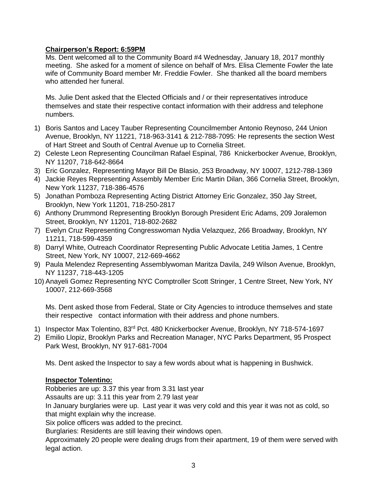# **Chairperson's Report: 6:59PM**

Ms. Dent welcomed all to the Community Board #4 Wednesday, January 18, 2017 monthly meeting. She asked for a moment of silence on behalf of Mrs. Elisa Clemente Fowler the late wife of Community Board member Mr. Freddie Fowler. She thanked all the board members who attended her funeral.

Ms. Julie Dent asked that the Elected Officials and / or their representatives introduce themselves and state their respective contact information with their address and telephone numbers.

- 1) Boris Santos and Lacey Tauber Representing Councilmember Antonio Reynoso, 244 Union Avenue, Brooklyn, NY 11221, 718-963-3141 & 212-788-7095: He represents the section West of Hart Street and South of Central Avenue up to Cornelia Street.
- 2) Celeste Leon Representing Councilman Rafael Espinal, 786 Knickerbocker Avenue, Brooklyn, NY 11207, 718-642-8664
- 3) Eric Gonzalez, Representing Mayor Bill De Blasio, 253 Broadway, NY 10007, 1212-788-1369
- 4) Jackie Reyes Representing Assembly Member Eric Martin Dilan, 366 Cornelia Street, Brooklyn, New York 11237, 718-386-4576
- 5) Jonathan Pomboza Representing Acting District Attorney Eric Gonzalez, 350 Jay Street, Brooklyn, New York 11201, 718-250-2817
- 6) Anthony Drummond Representing Brooklyn Borough President Eric Adams, 209 Joralemon Street, Brooklyn, NY 11201, 718-802-2682
- 7) Evelyn Cruz Representing Congresswoman Nydia Velazquez, 266 Broadway, Brooklyn, NY 11211, 718-599-4359
- 8) Darryl White, Outreach Coordinator Representing Public Advocate Letitia James, 1 Centre Street, New York, NY 10007, 212-669-4662
- 9) Paula Melendez Representing Assemblywoman Maritza Davila, 249 Wilson Avenue, Brooklyn, NY 11237, 718-443-1205
- 10) Anayeli Gomez Representing NYC Comptroller Scott Stringer, 1 Centre Street, New York, NY 10007, 212-669-3568

Ms. Dent asked those from Federal, State or City Agencies to introduce themselves and state their respective contact information with their address and phone numbers.

- 1) Inspector Max Tolentino, 83rd Pct. 480 Knickerbocker Avenue, Brooklyn, NY 718-574-1697
- 2) Emilio Llopiz, Brooklyn Parks and Recreation Manager, NYC Parks Department, 95 Prospect Park West, Brooklyn, NY 917-681-7004

Ms. Dent asked the Inspector to say a few words about what is happening in Bushwick.

## **Inspector Tolentino:**

Robberies are up: 3.37 this year from 3.31 last year

Assaults are up: 3.11 this year from 2.79 last year

In January burglaries were up. Last year it was very cold and this year it was not as cold, so that might explain why the increase.

Six police officers was added to the precinct.

Burglaries: Residents are still leaving their windows open.

Approximately 20 people were dealing drugs from their apartment, 19 of them were served with legal action.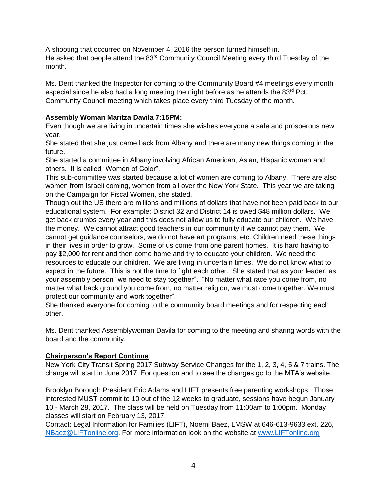A shooting that occurred on November 4, 2016 the person turned himself in. He asked that people attend the 83<sup>rd</sup> Community Council Meeting every third Tuesday of the month.

Ms. Dent thanked the Inspector for coming to the Community Board #4 meetings every month especial since he also had a long meeting the night before as he attends the  $83<sup>rd</sup>$  Pct. Community Council meeting which takes place every third Tuesday of the month.

# **Assembly Woman Maritza Davila 7:15PM:**

Even though we are living in uncertain times she wishes everyone a safe and prosperous new year.

She stated that she just came back from Albany and there are many new things coming in the future.

She started a committee in Albany involving African American, Asian, Hispanic women and others. It is called "Women of Color".

This sub-committee was started because a lot of women are coming to Albany. There are also women from Israeli coming, women from all over the New York State. This year we are taking on the Campaign for Fiscal Women, she stated.

Though out the US there are millions and millions of dollars that have not been paid back to our educational system. For example: District 32 and District 14 is owed \$48 million dollars. We get back crumbs every year and this does not allow us to fully educate our children. We have the money. We cannot attract good teachers in our community if we cannot pay them. We cannot get guidance counselors, we do not have art programs, etc. Children need these things in their lives in order to grow. Some of us come from one parent homes. It is hard having to pay \$2,000 for rent and then come home and try to educate your children. We need the resources to educate our children. We are living in uncertain times. We do not know what to expect in the future. This is not the time to fight each other. She stated that as your leader, as your assembly person "we need to stay together". "No matter what race you come from, no matter what back ground you come from, no matter religion, we must come together. We must protect our community and work together".

She thanked everyone for coming to the community board meetings and for respecting each other.

Ms. Dent thanked Assemblywoman Davila for coming to the meeting and sharing words with the board and the community.

## **Chairperson's Report Continue**:

New York City Transit Spring 2017 Subway Service Changes for the 1, 2, 3, 4, 5 & 7 trains. The change will start in June 2017. For question and to see the changes go to the MTA's website.

Brooklyn Borough President Eric Adams and LIFT presents free parenting workshops. Those interested MUST commit to 10 out of the 12 weeks to graduate, sessions have begun January 10 - March 28, 2017. The class will be held on Tuesday from 11:00am to 1:00pm. Monday classes will start on February 13, 2017.

Contact: Legal Information for Families (LIFT), Noemi Baez, LMSW at 646-613-9633 ext. 226, [NBaez@LIFTonline.org.](mailto:NBaez@LIFTonline.org) For more information look on the website at [www.LIFTonline.org](http://www.liftonline.org/)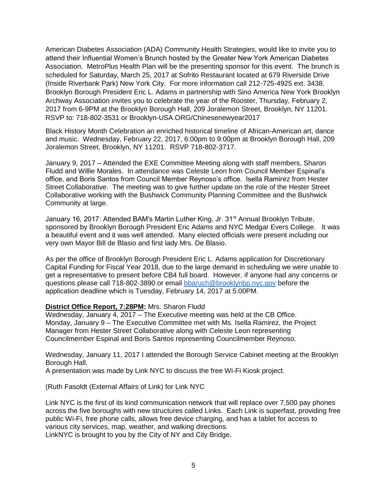American Diabetes Association (ADA) Community Health Strategies, would like to invite you to attend their Influential Women's Brunch hosted by the Greater New York American Diabetes Association. MetroPlus Health Plan will be the presenting sponsor for this event. The brunch is scheduled for Saturday, March 25, 2017 at Sofrito Restaurant located at 679 Riverside Drive (Inside Riverbank Park) New York City. For more information call 212-725-4925 ext. 3438. Brooklyn Borough President Eric L. Adams in partnership with Sino America New York Brooklyn Archway Association invites you to celebrate the year of the Rooster, Thursday, February 2, 2017 from 6-9PM at the Brooklyn Borough Hall, 209 Joralemon Street, Brooklyn, NY 11201. RSVP to: 718-802-3531 or Brooklyn-USA.ORG/Chinesenewyear2017

Black History Month Celebration an enriched historical timeline of African-American art, dance and music. Wednesday, February 22, 2017, 6:00pm to 9:00pm at Brooklyn Borough Hall, 209 Joralemon Street, Brooklyn, NY 11201. RSVP 718-802-3717.

January 9, 2017 – Attended the EXE Committee Meeting along with staff members, Sharon Fludd and Willie Morales. In attendance was Celeste Leon from Council Member Espinal's office, and Boris Santos from Council Member Reynoso's office. Isella Ramirez from Hester Street Collaborative. The meeting was to give further update on the role of the Hester Street Collaborative working with the Bushwick Community Planning Committee and the Bushwick Community at large.

January 16, 2017: Attended BAM's Martin Luther King, Jr. 31<sup>st</sup> Annual Brooklyn Tribute, sponsored by Brooklyn Borough President Eric Adams and NYC Medgar Evers College. It was a beautiful event and it was well attended. Many elected officials were present including our very own Mayor Bill de Blasio and first lady Mrs. De Blasio.

As per the office of Brooklyn Borough President Eric L. Adams application for Discretionary Capital Funding for Fiscal Year 2018, due to the large demand in scheduling we were unable to get a representative to present before CB4 full board. However, if anyone had any concerns or questions please call 718-802-3890 or email **bbaruch@brooklynbp.nyc.gov** before the application deadline which is Tuesday, February 14, 2017 at 5:00PM.

#### **District Office Report, 7:28PM:** Mrs. Sharon Fludd

Wednesday, January 4, 2017 – The Executive meeting was held at the CB Office. Monday, January 9 – The Executive Committee met with Ms. Isella Ramirez, the Project Manager from Hester Street Collaborative along with Celeste Leon representing Councilmember Espinal and Boris Santos representing Councilmember Reynoso.

Wednesday, January 11, 2017 I attended the Borough Service Cabinet meeting at the Brooklyn Borough Hall.

A presentation was made by Link NYC to discuss the free Wi-Fi Kiosk project.

(Ruth Fasoldt (External Affairs of Link) for Link NYC

Link NYC is the first of its kind communication network that will replace over 7,500 pay phones across the five boroughs with new structures called Links. Each Link is superfast, providing free public Wi-Fi, free phone calls, allows free device charging, and has a tablet for access to various city services, map, weather, and walking directions.

LinkNYC is brought to you by the City of NY and City Bridge.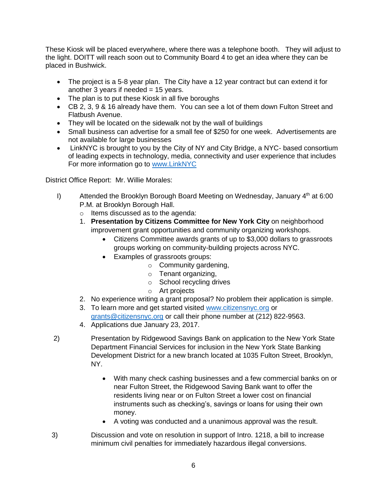These Kiosk will be placed everywhere, where there was a telephone booth. They will adjust to the light. DOITT will reach soon out to Community Board 4 to get an idea where they can be placed in Bushwick.

- The project is a 5-8 year plan. The City have a 12 year contract but can extend it for another 3 years if needed  $= 15$  years.
- The plan is to put these Kiosk in all five boroughs
- CB 2, 3, 9 & 16 already have them. You can see a lot of them down Fulton Street and Flatbush Avenue.
- They will be located on the sidewalk not by the wall of buildings
- Small business can advertise for a small fee of \$250 for one week. Advertisements are not available for large businesses
- LinkNYC is brought to you by the City of NY and City Bridge, a NYC- based consortium of leading expects in technology, media, connectivity and user experience that includes For more information go to [www.LinkNYC](http://www.linknyc/)

District Office Report: Mr. Willie Morales:

- I) Attended the Brooklyn Borough Board Meeting on Wednesday, January  $4<sup>th</sup>$  at 6:00 P.M. at Brooklyn Borough Hall.
	- o Items discussed as to the agenda:
	- 1. **Presentation by Citizens Committee for New York City** on neighborhood improvement grant opportunities and community organizing workshops.
		- Citizens Committee awards grants of up to \$3,000 dollars to grassroots groups working on community-building projects across NYC.
		- Examples of grassroots groups:
			- o Community gardening,
			- o Tenant organizing,
			- o School recycling drives
			- o Art projects
	- 2. No experience writing a grant proposal? No problem their application is simple.
	- 3. To learn more and get started visited [www.citizensnyc.org](http://www.citizensnyc.org/) or [grants@citizensnyc.org](mailto:grants@citizensnyc.org) or call their phone number at (212) 822-9563.
	- 4. Applications due January 23, 2017.
- 2) Presentation by Ridgewood Savings Bank on application to the New York State Department Financial Services for inclusion in the New York State Banking Development District for a new branch located at 1035 Fulton Street, Brooklyn, NY.
	- With many check cashing businesses and a few commercial banks on or near Fulton Street, the Ridgewood Saving Bank want to offer the residents living near or on Fulton Street a lower cost on financial instruments such as checking's, savings or loans for using their own money.
	- A voting was conducted and a unanimous approval was the result.
- 3) Discussion and vote on resolution in support of Intro. 1218, a bill to increase minimum civil penalties for immediately hazardous illegal conversions.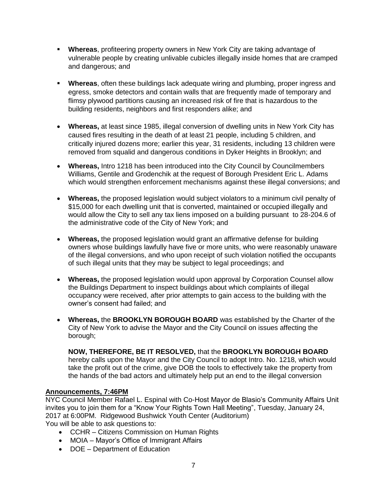- **Whereas**, profiteering property owners in New York City are taking advantage of vulnerable people by creating unlivable cubicles illegally inside homes that are cramped and dangerous; and
- **Whereas**, often these buildings lack adequate wiring and plumbing, proper ingress and egress, smoke detectors and contain walls that are frequently made of temporary and flimsy plywood partitions causing an increased risk of fire that is hazardous to the building residents, neighbors and first responders alike; and
- **Whereas,** at least since 1985, illegal conversion of dwelling units in New York City has caused fires resulting in the death of at least 21 people, including 5 children, and critically injured dozens more; earlier this year, 31 residents, including 13 children were removed from squalid and dangerous conditions in Dyker Heights in Brooklyn; and
- **Whereas,** Intro 1218 has been introduced into the City Council by Councilmembers Williams, Gentile and Grodenchik at the request of Borough President Eric L. Adams which would strengthen enforcement mechanisms against these illegal conversions; and
- **Whereas,** the proposed legislation would subject violators to a minimum civil penalty of \$15,000 for each dwelling unit that is converted, maintained or occupied illegally and would allow the City to sell any tax liens imposed on a building pursuant to 28-204.6 of the administrative code of the City of New York; and
- **Whereas,** the proposed legislation would grant an affirmative defense for building owners whose buildings lawfully have five or more units, who were reasonably unaware of the illegal conversions, and who upon receipt of such violation notified the occupants of such illegal units that they may be subject to legal proceedings; and
- **Whereas,** the proposed legislation would upon approval by Corporation Counsel allow the Buildings Department to inspect buildings about which complaints of illegal occupancy were received, after prior attempts to gain access to the building with the owner's consent had failed; and
- **Whereas,** the **BROOKLYN BOROUGH BOARD** was established by the Charter of the City of New York to advise the Mayor and the City Council on issues affecting the borough;

**NOW, THEREFORE, BE IT RESOLVED,** that the **BROOKLYN BOROUGH BOARD** hereby calls upon the Mayor and the City Council to adopt Intro. No. 1218, which would take the profit out of the crime, give DOB the tools to effectively take the property from the hands of the bad actors and ultimately help put an end to the illegal conversion

## **Announcements, 7:46PM**

NYC Council Member Rafael L. Espinal with Co-Host Mayor de Blasio's Community Affairs Unit invites you to join them for a "Know Your Rights Town Hall Meeting", Tuesday, January 24, 2017 at 6:00PM. Ridgewood Bushwick Youth Center (Auditorium) You will be able to ask questions to:

- CCHR Citizens Commission on Human Rights
- MOIA Mayor's Office of Immigrant Affairs
- DOE Department of Education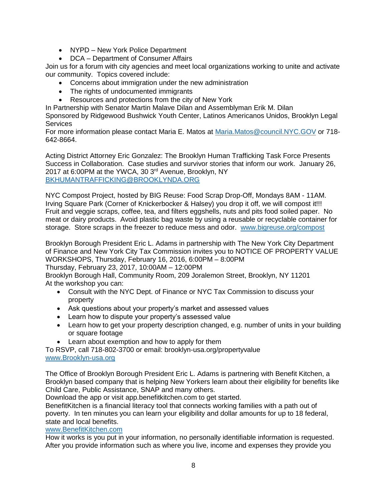- NYPD New York Police Department
- DCA Department of Consumer Affairs

Join us for a forum with city agencies and meet local organizations working to unite and activate our community. Topics covered include:

- Concerns about immigration under the new administration
- The rights of undocumented immigrants
- Resources and protections from the city of New York

In Partnership with Senator Martin Malave Dilan and Assemblyman Erik M. Dilan Sponsored by Ridgewood Bushwick Youth Center, Latinos Americanos Unidos, Brooklyn Legal

**Services** 

For more information please contact Maria E. Matos at [Maria.Matos@council.NYC.GOV](mailto:Maria.Matos@council.NYC.GOV) or 718- 642-8664.

Acting District Attorney Eric Gonzalez: The Brooklyn Human Trafficking Task Force Presents Success in Collaboration. Case studies and survivor stories that inform our work. January 26, 2017 at 6:00PM at the YWCA, 30 3rd Avenue, Brooklyn, NY [BKHUMANTRAFFICKING@BROOKLYNDA.ORG](mailto:BKHUMANTRAFFICKING@BROOKLYNDA.ORG)

NYC Compost Project, hosted by BIG Reuse: Food Scrap Drop-Off, Mondays 8AM - 11AM. Irving Square Park (Corner of Knickerbocker & Halsey) you drop it off, we will compost it!!! Fruit and veggie scraps, coffee, tea, and filters eggshells, nuts and pits food soiled paper. No meat or dairy products. Avoid plastic bag waste by using a reusable or recyclable container for storage. Store scraps in the freezer to reduce mess and odor. [www.bigreuse.org/compost](http://www.bigreuse.org/compost)

Brooklyn Borough President Eric L. Adams in partnership with The New York City Department of Finance and New York City Tax Commission invites you to NOTICE OF PROPERTY VALUE WORKSHOPS, Thursday, February 16, 2016, 6:00PM – 8:00PM

Thursday, February 23, 2017, 10:00AM – 12:00PM

Brooklyn Borough Hall, Community Room, 209 Joralemon Street, Brooklyn, NY 11201 At the workshop you can:

- Consult with the NYC Dept. of Finance or NYC Tax Commission to discuss your property
- Ask questions about your property's market and assessed values
- Learn how to dispute your property's assessed value
- Learn how to get your property description changed, e.g. number of units in your building or square footage
- Learn about exemption and how to apply for them

To RSVP, call 718-802-3700 or email: brooklyn-usa.org/propertyvalue [www.Brooklyn-usa.org](http://www.brooklyn-usa.org/) 

The Office of Brooklyn Borough President Eric L. Adams is partnering with Benefit Kitchen, a Brooklyn based company that is helping New Yorkers learn about their eligibility for benefits like Child Care, Public Assistance, SNAP and many others.

Download the app or visit app.benefitkitchen.com to get started.

BenefitKitchen is a financial literacy tool that connects working families with a path out of poverty. In ten minutes you can learn your eligibility and dollar amounts for up to 18 federal, state and local benefits.

## [www.BenefitKitchen.com](http://www.benefitkitchen.com/)

How it works is you put in your information, no personally identifiable information is requested. After you provide information such as where you live, income and expenses they provide you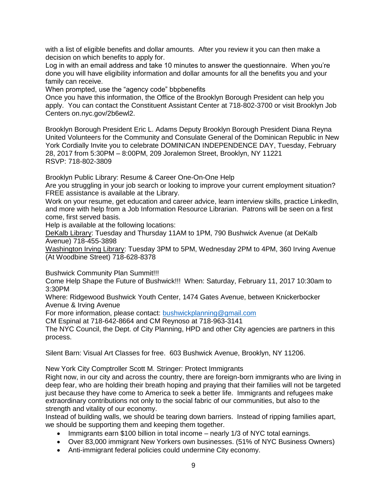with a list of eligible benefits and dollar amounts. After you review it you can then make a decision on which benefits to apply for.

Log in with an email address and take 10 minutes to answer the questionnaire. When you're done you will have eligibility information and dollar amounts for all the benefits you and your family can receive.

When prompted, use the "agency code" bbpbenefits

Once you have this information, the Office of the Brooklyn Borough President can help you apply. You can contact the Constituent Assistant Center at 718-802-3700 or visit Brooklyn Job Centers on.nyc.gov/2b6ewl2.

Brooklyn Borough President Eric L. Adams Deputy Brooklyn Borough President Diana Reyna United Volunteers for the Community and Consulate General of the Dominican Republic in New York Cordially Invite you to celebrate DOMINICAN INDEPENDENCE DAY, Tuesday, February 28, 2017 from 5:30PM – 8:00PM, 209 Joralemon Street, Brooklyn, NY 11221 RSVP: 718-802-3809

Brooklyn Public Library: Resume & Career One-On-One Help

Are you struggling in your job search or looking to improve your current employment situation? FREE assistance is available at the Library.

Work on your resume, get education and career advice, learn interview skills, practice LinkedIn, and more with help from a Job Information Resource Librarian. Patrons will be seen on a first come, first served basis.

Help is available at the following locations:

DeKalb Library: Tuesday and Thursday 11AM to 1PM, 790 Bushwick Avenue (at DeKalb Avenue) 718-455-3898

Washington Irving Library: Tuesday 3PM to 5PM, Wednesday 2PM to 4PM, 360 Irving Avenue (At Woodbine Street) 718-628-8378

Bushwick Community Plan Summit!!!

Come Help Shape the Future of Bushwick!!! When: Saturday, February 11, 2017 10:30am to 3:30PM

Where: Ridgewood Bushwick Youth Center, 1474 Gates Avenue, between Knickerbocker Avenue & Irving Avenue

For more information, please contact: [bushwickplanning@gmail.com](mailto:bushwickplanning@gmail.com)

CM Espinal at 718-642-8664 and CM Reynoso at 718-963-3141

The NYC Council, the Dept. of City Planning, HPD and other City agencies are partners in this process.

Silent Barn: Visual Art Classes for free. 603 Bushwick Avenue, Brooklyn, NY 11206.

New York City Comptroller Scott M. Stringer: Protect Immigrants

Right now, in our city and across the country, there are foreign-born immigrants who are living in deep fear, who are holding their breath hoping and praying that their families will not be targeted just because they have come to America to seek a better life. Immigrants and refugees make extraordinary contributions not only to the social fabric of our communities, but also to the strength and vitality of our economy.

Instead of building walls, we should be tearing down barriers. Instead of ripping families apart, we should be supporting them and keeping them together.

- Immigrants earn \$100 billion in total income nearly 1/3 of NYC total earnings.
- Over 83,000 immigrant New Yorkers own businesses. (51% of NYC Business Owners)
- Anti-immigrant federal policies could undermine City economy.